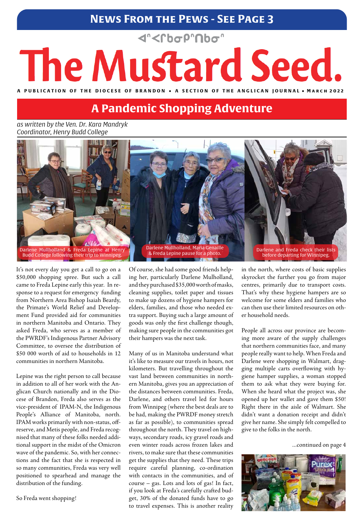## **News From the Pews - See Page 3**

## <rbop"nbo"

# The Mustard Seed.

A PUBLICATION OF THE DIOCESE OF BRANDON . A SECTION OF THE ANGLICAN **JOURNAL** . MARCH 2022

*as written by the Ven. Dr. Kara Mandryk Coordinator, Henry Budd College*

It's not every day you get a call to go on a \$50,000 shopping spree. But such a call came to Freda Lepine early this year. In response to a request for emergency funding from Northern Area Bishop Isaiah Beardy, the Primate's World Relief and Development Fund provided aid for communities in northern Manitoba and Ontario. They asked Freda, who serves as a member of the PWRDF's Indigenous Partner Advisory Committee, to oversee the distribution of \$50 000 worth of aid to households in 12 communities in northern Manitoba.

Lepine was the right person to call because in addition to all of her work with the Anglican Church nationally and in the Diocese of Brandon, Freda also serves as the vice-president of IPAM-N, the Indigenous People's Alliance of Manitoba, north. IPAM works primarily with non-status, offreserve, and Metis people, and Freda recognised that many of these folks needed additional support in the midst of the Omicron wave of the pandemic. So, with her connections and the fact that she is respected in so many communities, Freda was very well positioned to spearhead and manage the distribution of the funding.

So Freda went shopping!

Of course, she had some good friends helping her, particularly Darlene Mulholland, and they purchased \$35,000 worth of masks, cleaning supplies, toilet paper and tissues to make up dozens of hygiene hampers for elders, families, and those who needed extra support. Buying such a large amount of goods was only the first challenge though, making sure people in the communities got their hampers was the next task.

Many of us in Manitoba understand what it's like to measure our travels in hours, not kilometers. But travelling throughout the vast land between communities in northern Manitoba, gives you an appreciation of the distances between communities. Freda, Darlene, and others travel led for hours from Winnipeg (where the best deals are to be had, making the PWRDF money stretch as far as possible), to communities spread throughout the north. They travel on highways, secondary roads, icy gravel roads and even winter roads across frozen lakes and rivers, to make sure that these communities get the supplies that they need. These trips require careful planning, co-ordination with contacts in the communities, and of course – gas. Lots and lots of gas! In fact, if you look at Freda's carefully crafted budget, 30% of the donated funds have to go to travel expenses. This is another reality

in the north, where costs of basic supplies skyrocket the further you go from major centres, primarily due to transport costs. That's why these hygiene hampers are so welcome for some elders and families who can then use their limited resources on other household needs.

People all across our province are becoming more aware of the supply challenges that northern communities face, and many people really want to help. When Freda and Darlene were shopping in Walmart, dragging multiple carts overflowing with hygiene hamper supplies, a woman stopped them to ask what they were buying for. When she heard what the project was, she opened up her wallet and gave them \$50! Right there in the aisle of Walmart. She didn't want a donation receipt and didn't give her name. She simply felt compelled to give to the folks in the north.

...continued on page 4



## **A Pandemic Shopping Adventure**



before departing for Winnipeg.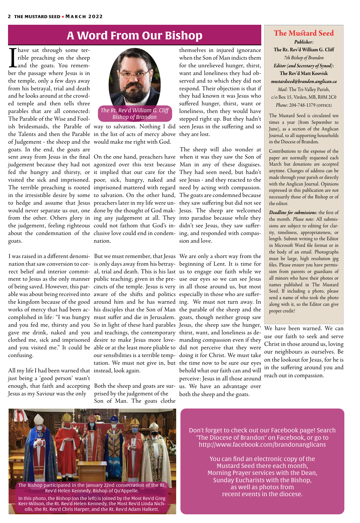Thave sat through some ter-<br>rible preaching on the sheep<br>and the goats. You remem-<br>her the passage where Iesus is in rible preaching on the sheep and the goats. You remember the passage where Jesus is in the temple, only a few days away from his betrayal, trial and death and he looks around at the crowded temple and then tells three parables that are all connected: The Parable of the Wise and Foolish bridesmaids, the Parable of way to salvation. Nothing I did seen Jesus in the suffering and so the Talents and then the Parable in the list of acts of mercy above they are lost. of Judgement - the sheep and the would make me right with God. goats. In the end, the goats are goats.

I w<br>na<br>rec I was raised in a different denomi-But we must remember, that Jesus We are only a short way from the nation that saw conversion to cor-is only days away from his betray-beginning of Lent. It is time for rect belief and interior commit-al, trial and death. This is his last us to engage our faith while we ment to Jesus as the only manner public teaching; given in the pre-use our eyes so we can see Jesus of being saved. However, this par- cincts of the temple. Jesus is very in all those around us, but most able was about being received into aware of the shifts and politics especially in those who are sufferthe kingdom because of the good around him and he has warned ing. We must not turn away. In works of mercy that had been ac-his disciples that the Son of Man the parable of the sheep and the complished in life: "I was hungry must suffer and die in Jerusalem. goats, though neither group saw and you fed me, thirsty and you So in light of these hard parables Jesus, the sheep saw the hunger, gave me drink, naked and you and teachings, the contemporary thirst, want, and loneliness as declothed me, sick and imprisoned desire to make Jesus more love-manding compassion even if they and you visited me." It could be able or at the least more pliable to did not perceive that they were confusing.

sent away from Jesus in the final On the one hand, preachers have) when it was they saw the Son of judgement because they had not agonized over this text because Man in any of these disguises. fed the hungry and thirsty, or it implied that our care for the They had seen need, but hadn't visited the sick and imprisoned. poor, sick, hungry, naked and see Jesus - and they reacted to the The terrible preaching is rooted imprisoned mattered with regard need by acting with compassion. in the irresistible desire by some to salvation. On the other hand, The goats are condemned because to hedge and assume that Jesus preachers later in my life were un-they saw suffering but did not see would never separate us out, one done by the thought of God mak-Jesus. The sheep are welcomed from the other. Others glory in ing any judgement at all. They into paradise because while they the judgement, feeling righteous could not fathom that God's in-didn't see Jesus, they saw sufferabout the condemnation of the clusive love could end in condem- ing, and responded with compasnation.

> Bo<br>pri<br>So prised by the judgement of the Son of Man. The goats clothe

All my life I had been warned that instead, look again. just being a 'good person' wasn't enough, that faith and accepting Both the sheep and goats are sur-us. We have an advantage over Jesus as my Saviour was the only

Tł<br>wł<br>M The sheep will also wonder at sion and love.

Bu<br>is d<br>al, our sensibilities is a terrible temp-doing it for Christ. We must take tation. We must not give in, but the time now to be sure our eyes

themselves in injured ignorance when the Son of Man indicts them for the unrelieved hunger, thirst, want and loneliness they had observed and to which they did not respond. Their objection is that if they had known it was Jesus who suffered hunger, thirst, want or loneliness, then they would have stepped right up. But they hadn't

behold what our faith can and will perceive: Jesus in all those around both the sheep and the goats.

## **A Word From Our Bishop The Mustard Seed**

## *Publisher:*

**The Rt. Rev'd William G. Cliff** *7th Bishop of Brandon Editor (and Secretary of Synod):*  **The Rev'd Matt Koovisk** *mustardseed@brandon.anglican.ca Mail:* The Tri-Valley Parish, c/o Box 15, Virden, MB, R0M 2C0 *Phone:* 204-748-1379 (office)

The Mustard Seed is circulated ten times a year (from September to June), as a section of the Anglican Journal, to all supporting households in the Diocese of Brandon.

Contributions to the expense of the paper are normally requested each March but donations are accepted anytime. Changes of address can be made through your parish or directly with the Anglican Journal. Opinions expressed in this publication are not necessarily those of the Bishop or of the editor.

*Deadline for submissions:* the first of the month. *Please note:* All submissions are subject to editing for clarity, timeliness, appropriateness, or length. Submit writing to the Editor in Microsoft Word file format or in the body of an email. Photographs must be large, high resolution jpg files. Please ensure you have permission from parents or guardians of all minors who have their photos or names published in The Mustard Seed. If including a photo, please send a name of who took the photo along with it, so the Editor can give proper credit!



Don't forget to check out our Facebook page! Search "The Diocese of Brandon" on Facebook, or go to http://www.facebook.com/brandonanglicans

> You can find an electronic copy of the Mustard Seed there each month, Morning Prayer services with the Dean, Sunday Eucharists with the Bishop, as well as photos from recent events in the diocese.

We have been warned. We can use our faith to seek and serve Christ in those around us, loving our neighbours as ourselves. Be on the lookout for Jesus, for he is in the suffering around you and reach out in compassion.



The Bishop participated in the January 22nd consecration of the Rt. Rev'd Helen Kennedy, Bishop of Qu'Appelle.

In this photo, the Bishop (on the left) is joined by the Most Rev'd Greg Kerr-Wilson, the Rt. Rev'd Helen Kennedy, the Most Rev'd Linda Nicholls, the Rt. Rev'd Chris Harper, and the Rt. Rev'd Adam Halkett.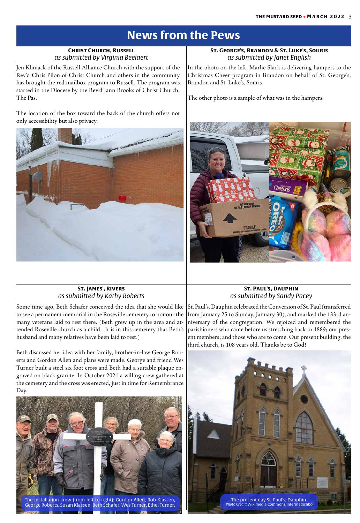## **News from the Pews**

| <b>CHRIST CHURCH, RUSSELL</b><br>as submitted by Virginia Beelaert                                                                                                                                                                                                                       | ST. GEORGE'S, BRANDON & ST. LUKE'S, SOURIS<br>as submitted by Janet English                                                                                                                                                        |
|------------------------------------------------------------------------------------------------------------------------------------------------------------------------------------------------------------------------------------------------------------------------------------------|------------------------------------------------------------------------------------------------------------------------------------------------------------------------------------------------------------------------------------|
| Jen Klimack of the Russell Alliance Church with the support of the<br>Rev'd Chris Pilon of Christ Church and others in the community<br>has brought the red mailbox program to Russell. The program was<br>started in the Diocese by the Rev'd Jann Brooks of Christ Church,<br>The Pas. | In the photo on the left, Marlie Slack is delivering hampers to the<br>Christmas Cheer program in Brandon on behalf of St. George's,<br>Brandon and St. Luke's, Souris.<br>The other photo is a sample of what was in the hampers. |
| The location of the box toward the back of the church offers not<br>only accessibility but also privacy.                                                                                                                                                                                 | <b>CONTRACTOR</b> COMPANY                                                                                                                                                                                                          |





Some time ago, Beth Schafer conceived the idea that she would like to see a permanent memorial in the Roseville cemetery to honour the many veterans laid to rest there. (Beth grew up in the area and attended Roseville church as a child. It is in this cemetery that Beth's husband and many relatives have been laid to rest.)

Beth discussed her idea with her family, brother-in-law George Roberts and Gordon Allen and plans were made. George and friend Wes Turner built a steel six foot cross and Beth had a suitable plaque engraved on black granite. In October 2021 a willing crew gathered at the cemetery and the cross was erected, just in time for Remembrance Day.

| <b>ST. JAMES', RIVERS</b>     | <b>ST. PAUL'S, DAUPHIN</b>  |
|-------------------------------|-----------------------------|
| as submitted by Kathy Roberts | as submitted by Sandy Pacey |

St. Paul's, Dauphin celebrated the Conversion of St. Paul (transferred from January 25 to Sunday, January 30), and marked the 133rd anniversary of the congregation. We rejoiced and remembered the parishioners who came before us stretching back to 1889; our present members; and those who are to come. Our present building, the third church, is 108 years old. Thanks be to God!



#### The installation crew (from left to right): Gordon Allen, Bob Klassen, George Roberts, Susan Klassen, Beth Schafer, Wes Turner, Ethel Turner.

 $\mathbf{N}$ 

**BA** 1

186

**THE REAL PROPERTY AND INCOME.** 

The present day St. Paul's, Dauphin. Photo Credit: Wikimedia Commons/Intermedichbo